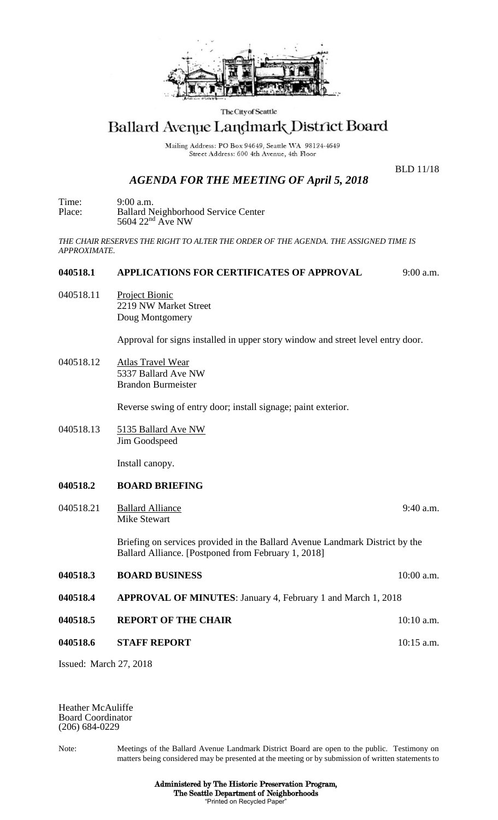

The City of Seattle

# Ballard Avenue Landmark District Board

Mailing Address: PO Box 94649, Seattle WA 98124-4649 Street Address: 600 4th Avenue, 4th Floor

## *AGENDA FOR THE MEETING OF April 5, 2018*

BLD 11/18

Time: 9:00 a.m. Place: Ballard Neighborhood Service Center  $5604$   $22<sup>nd</sup>$  Ave NW

*THE CHAIR RESERVES THE RIGHT TO ALTER THE ORDER OF THE AGENDA. THE ASSIGNED TIME IS APPROXIMATE.*

#### **040518.1 APPLICATIONS FOR CERTIFICATES OF APPROVAL** 9:00 a.m.

040518.11 Project Bionic 2219 NW Market Street Doug Montgomery

Approval for signs installed in upper story window and street level entry door.

040518.12 Atlas Travel Wear 5337 Ballard Ave NW Brandon Burmeister

Reverse swing of entry door; install signage; paint exterior.

040518.13 5135 Ballard Ave NW Jim Goodspeed

Install canopy.

### **040518.2 BOARD BRIEFING**

040518.21 Ballard Alliance 9:40 a.m. Mike Stewart

> Briefing on services provided in the Ballard Avenue Landmark District by the Ballard Alliance. [Postponed from February 1, 2018]

- **040518.3 BOARD BUSINESS** 10:00 a.m. **040518.4 APPROVAL OF MINUTES**: January 4, February 1 and March 1, 2018 **040518.5 REPORT OF THE CHAIR 10:10 a.m.**
- **040518.6 STAFF REPORT 10:15 a.m.**

Issued: March 27, 2018

Heather McAuliffe Board Coordinator (206) 684-0229

Note: Meetings of the Ballard Avenue Landmark District Board are open to the public. Testimony on matters being considered may be presented at the meeting or by submission of written statements to